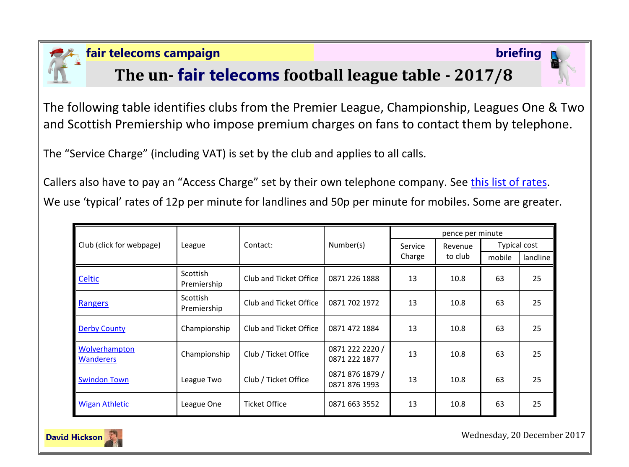

### **fair telecoms campaign briefing**

## **The un- fair telecoms football league table - 2017/8**



The following table identifies clubs from the Premier League, Championship, Leagues One & Two and Scottish Premiership who impose premium charges on fans to contact them by telephone.

The "Service Charge" (including VAT) is set by the club and applies to all calls.

Callers also have to pay an "Access Charge" set by their own telephone company. See [this list of rates.](http://www.saynoto0870.com/costofcalling.php) We use 'typical' rates of 12p per minute for landlines and 50p per minute for mobiles. Some are greater.

| Club (click for webpage)          | League                  | Contact:               | Number(s)                        | pence per minute  |                    |                     |          |
|-----------------------------------|-------------------------|------------------------|----------------------------------|-------------------|--------------------|---------------------|----------|
|                                   |                         |                        |                                  | Service<br>Charge | Revenue<br>to club | <b>Typical cost</b> |          |
|                                   |                         |                        |                                  |                   |                    | mobile              | landline |
| Celtic                            | Scottish<br>Premiership | Club and Ticket Office | 0871 226 1888                    | 13                | 10.8               | 63                  | 25       |
| Rangers                           | Scottish<br>Premiership | Club and Ticket Office | 0871 702 1972                    | 13                | 10.8               | 63                  | 25       |
| <b>Derby County</b>               | Championship            | Club and Ticket Office | 0871 472 1884                    | 13                | 10.8               | 63                  | 25       |
| Wolverhampton<br><b>Wanderers</b> | Championship            | Club / Ticket Office   | 0871 222 2220 /<br>0871 222 1877 | 13                | 10.8               | 63                  | 25       |
| <b>Swindon Town</b>               | League Two              | Club / Ticket Office   | 0871 876 1879 /<br>0871 876 1993 | 13                | 10.8               | 63                  | 25       |
| <b>Wigan Athletic</b>             | League One              | <b>Ticket Office</b>   | 0871 663 3552                    | 13                | 10.8               | 63                  | 25       |



Wednesday, 20 December 2017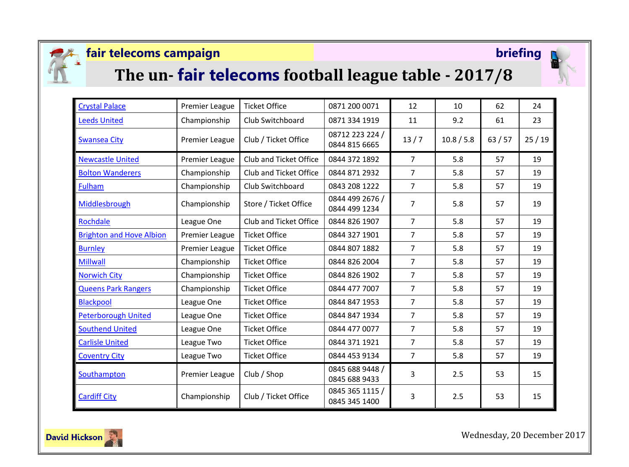

## **fair telecoms campaign briefing**



# **The un- fair telecoms football league table - 2017/8**



| <b>Crystal Palace</b>           | <b>Premier League</b> | <b>Ticket Office</b>          | 0871 200 0071                    | 12             | 10         | 62    | 24    |
|---------------------------------|-----------------------|-------------------------------|----------------------------------|----------------|------------|-------|-------|
| <b>Leeds United</b>             | Championship          | Club Switchboard              | 0871 334 1919                    | 11             | 9.2        | 61    | 23    |
| <b>Swansea City</b>             | <b>Premier League</b> | Club / Ticket Office          | 08712 223 224 /<br>0844 815 6665 | 13/7           | 10.8 / 5.8 | 63/57 | 25/19 |
| <b>Newcastle United</b>         | <b>Premier League</b> | Club and Ticket Office        | 0844 372 1892                    | $\overline{7}$ | 5.8        | 57    | 19    |
| <b>Bolton Wanderers</b>         | Championship          | Club and Ticket Office        | 0844 871 2932                    | $\overline{7}$ | 5.8        | 57    | 19    |
| Fulham                          | Championship          | Club Switchboard              | 0843 208 1222                    | $\overline{7}$ | 5.8        | 57    | 19    |
| Middlesbrough                   | Championship          | Store / Ticket Office         | 0844 499 2676 /<br>0844 499 1234 | $\overline{7}$ | 5.8        | 57    | 19    |
| Rochdale                        | League One            | <b>Club and Ticket Office</b> | 0844 826 1907                    | $\overline{7}$ | 5.8        | 57    | 19    |
| <b>Brighton and Hove Albion</b> | Premier League        | <b>Ticket Office</b>          | 0844 327 1901                    | $\overline{7}$ | 5.8        | 57    | 19    |
| <b>Burnley</b>                  | Premier League        | <b>Ticket Office</b>          | 0844 807 1882                    | $\overline{7}$ | 5.8        | 57    | 19    |
| <b>Millwall</b>                 | Championship          | <b>Ticket Office</b>          | 0844 826 2004                    | $\overline{7}$ | 5.8        | 57    | 19    |
| <b>Norwich City</b>             | Championship          | <b>Ticket Office</b>          | 0844 826 1902                    | $\overline{7}$ | 5.8        | 57    | 19    |
| <b>Queens Park Rangers</b>      | Championship          | <b>Ticket Office</b>          | 0844 477 7007                    | $\overline{7}$ | 5.8        | 57    | 19    |
| <b>Blackpool</b>                | League One            | <b>Ticket Office</b>          | 0844 847 1953                    | $\overline{7}$ | 5.8        | 57    | 19    |
| <b>Peterborough United</b>      | League One            | <b>Ticket Office</b>          | 0844 847 1934                    | $\overline{7}$ | 5.8        | 57    | 19    |
| <b>Southend United</b>          | League One            | <b>Ticket Office</b>          | 0844 477 0077                    | $\overline{7}$ | 5.8        | 57    | 19    |
| <b>Carlisle United</b>          | League Two            | <b>Ticket Office</b>          | 0844 371 1921                    | $\overline{7}$ | 5.8        | 57    | 19    |
| <b>Coventry City</b>            | League Two            | <b>Ticket Office</b>          | 0844 453 9134                    | $\overline{7}$ | 5.8        | 57    | 19    |
| Southampton                     | <b>Premier League</b> | Club / Shop                   | 0845 688 9448 /<br>0845 688 9433 | 3              | 2.5        | 53    | 15    |
| <b>Cardiff City</b>             | Championship          | Club / Ticket Office          | 0845 365 1115 /<br>0845 345 1400 | 3              | 2.5        | 53    | 15    |



Wednesday, 20 December 2017